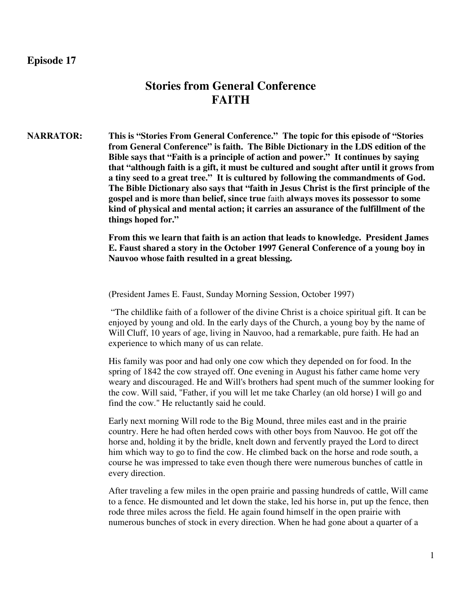# **Episode 17**

# **Stories from General Conference FAITH**

**NARRATOR: This is "Stories From General Conference." The topic for this episode of "Stories from General Conference" is faith. The Bible Dictionary in the LDS edition of the Bible says that "Faith is a principle of action and power." It continues by saying that "although faith is a gift, it must be cultured and sought after until it grows from a tiny seed to a great tree." It is cultured by following the commandments of God. The Bible Dictionary also says that "faith in Jesus Christ is the first principle of the gospel and is more than belief, since true** faith **always moves its possessor to some kind of physical and mental action; it carries an assurance of the fulfillment of the things hoped for."** 

> **From this we learn that faith is an action that leads to knowledge. President James E. Faust shared a story in the October 1997 General Conference of a young boy in Nauvoo whose faith resulted in a great blessing.**

(President James E. Faust, Sunday Morning Session, October 1997)

 "The childlike faith of a follower of the divine Christ is a choice spiritual gift. It can be enjoyed by young and old. In the early days of the Church, a young boy by the name of Will Cluff, 10 years of age, living in Nauvoo, had a remarkable, pure faith. He had an experience to which many of us can relate.

His family was poor and had only one cow which they depended on for food. In the spring of 1842 the cow strayed off. One evening in August his father came home very weary and discouraged. He and Will's brothers had spent much of the summer looking for the cow. Will said, "Father, if you will let me take Charley (an old horse) I will go and find the cow." He reluctantly said he could.

Early next morning Will rode to the Big Mound, three miles east and in the prairie country. Here he had often herded cows with other boys from Nauvoo. He got off the horse and, holding it by the bridle, knelt down and fervently prayed the Lord to direct him which way to go to find the cow. He climbed back on the horse and rode south, a course he was impressed to take even though there were numerous bunches of cattle in every direction.

After traveling a few miles in the open prairie and passing hundreds of cattle, Will came to a fence. He dismounted and let down the stake, led his horse in, put up the fence, then rode three miles across the field. He again found himself in the open prairie with numerous bunches of stock in every direction. When he had gone about a quarter of a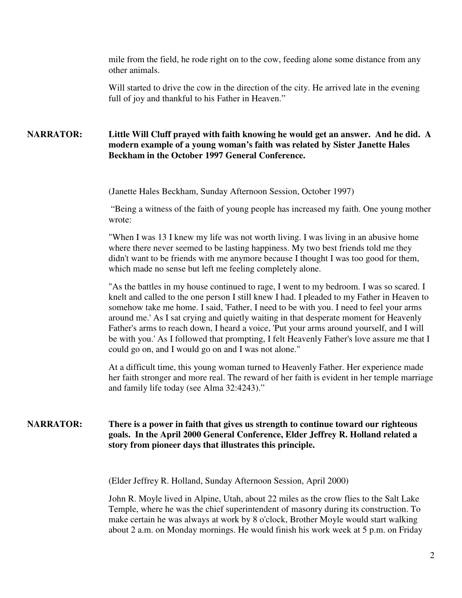mile from the field, he rode right on to the cow, feeding alone some distance from any other animals.

Will started to drive the cow in the direction of the city. He arrived late in the evening full of joy and thankful to his Father in Heaven."

## **NARRATOR: Little Will Cluff prayed with faith knowing he would get an answer. And he did. A modern example of a young woman's faith was related by Sister Janette Hales Beckham in the October 1997 General Conference.**

(Janette Hales Beckham, Sunday Afternoon Session, October 1997)

 "Being a witness of the faith of young people has increased my faith. One young mother wrote:

"When I was 13 I knew my life was not worth living. I was living in an abusive home where there never seemed to be lasting happiness. My two best friends told me they didn't want to be friends with me anymore because I thought I was too good for them, which made no sense but left me feeling completely alone.

"As the battles in my house continued to rage, I went to my bedroom. I was so scared. I knelt and called to the one person I still knew I had. I pleaded to my Father in Heaven to somehow take me home. I said, 'Father, I need to be with you. I need to feel your arms around me.' As I sat crying and quietly waiting in that desperate moment for Heavenly Father's arms to reach down, I heard a voice, 'Put your arms around yourself, and I will be with you.' As I followed that prompting, I felt Heavenly Father's love assure me that I could go on, and I would go on and I was not alone."

At a difficult time, this young woman turned to Heavenly Father. Her experience made her faith stronger and more real. The reward of her faith is evident in her temple marriage and family life today (see Alma 32:4243)."

## **NARRATOR: There is a power in faith that gives us strength to continue toward our righteous goals. In the April 2000 General Conference, Elder Jeffrey R. Holland related a story from pioneer days that illustrates this principle.**

(Elder Jeffrey R. Holland, Sunday Afternoon Session, April 2000)

John R. Moyle lived in Alpine, Utah, about 22 miles as the crow flies to the Salt Lake Temple, where he was the chief superintendent of masonry during its construction. To make certain he was always at work by 8 o'clock, Brother Moyle would start walking about 2 a.m. on Monday mornings. He would finish his work week at 5 p.m. on Friday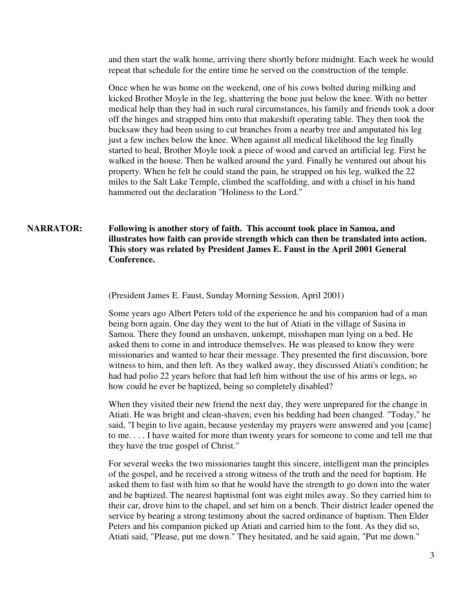and then start the walk home, arriving there shortly before midnight. Each week he would repeat that schedule for the entire time he served on the construction of the temple.

Once when he was home on the weekend, one of his cows bolted during milking and kicked Brother Moyle in the leg, shattering the bone just below the knee. With no better medical help than they had in such rural circumstances, his family and friends took a door off the hinges and strapped him onto that makeshift operating table. They then took the bucksaw they had been using to cut branches from a nearby tree and amputated his leg just a few inches below the knee. When against all medical likelihood the leg finally started to heal, Brother Moyle took a piece of wood and carved an artificial leg. First he walked in the house. Then he walked around the yard. Finally he ventured out about his property. When he felt he could stand the pain, he strapped on his leg, walked the 22 miles to the Salt Lake Temple, climbed the scaffolding, and with a chisel in his hand hammered out the declaration "Holiness to the Lord."

# **NARRATOR: Following is another story of faith. This account took place in Samoa, and illustrates how faith can provide strength which can then be translated into action. This story was related by President James E. Faust in the April 2001 General Conference.**

(President James E. Faust, Sunday Morning Session, April 2001)

Some years ago Albert Peters told of the experience he and his companion had of a man being born again. One day they went to the hut of Atiati in the village of Sasina in Samoa. There they found an unshaven, unkempt, misshapen man lying on a bed. He asked them to come in and introduce themselves. He was pleased to know they were missionaries and wanted to hear their message. They presented the first discussion, bore witness to him, and then left. As they walked away, they discussed Atiati's condition; he had had polio 22 years before that had left him without the use of his arms or legs, so how could he ever be baptized, being so completely disabled?

When they visited their new friend the next day, they were unprepared for the change in Atiati. He was bright and clean-shaven; even his bedding had been changed. "Today," he said, "I begin to live again, because yesterday my prayers were answered and you [came] to me. . . . I have waited for more than twenty years for someone to come and tell me that they have the true gospel of Christ."

For several weeks the two missionaries taught this sincere, intelligent man the principles of the gospel, and he received a strong witness of the truth and the need for baptism. He asked them to fast with him so that he would have the strength to go down into the water and be baptized. The nearest baptismal font was eight miles away. So they carried him to their car, drove him to the chapel, and set him on a bench. Their district leader opened the service by bearing a strong testimony about the sacred ordinance of baptism. Then Elder Peters and his companion picked up Atiati and carried him to the font. As they did so, Atiati said, "Please, put me down." They hesitated, and he said again, "Put me down."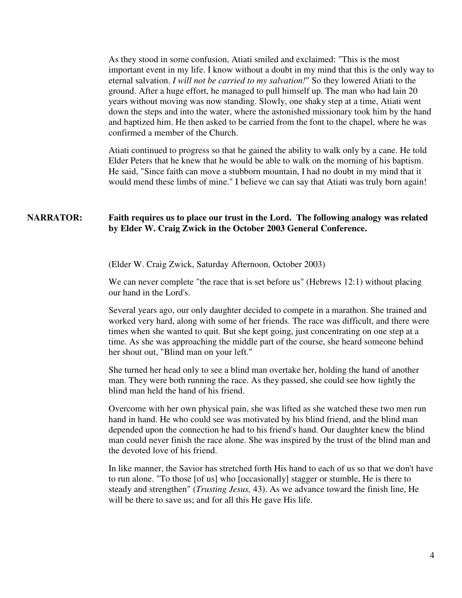As they stood in some confusion, Atiati smiled and exclaimed: "This is the most important event in my life. I know without a doubt in my mind that this is the only way to eternal salvation. *I will not be carried to my salvation!*" So they lowered Atiati to the ground. After a huge effort, he managed to pull himself up. The man who had lain 20 years without moving was now standing. Slowly, one shaky step at a time, Atiati went down the steps and into the water, where the astonished missionary took him by the hand and baptized him. He then asked to be carried from the font to the chapel, where he was confirmed a member of the Church.

Atiati continued to progress so that he gained the ability to walk only by a cane. He told Elder Peters that he knew that he would be able to walk on the morning of his baptism. He said, "Since faith can move a stubborn mountain, I had no doubt in my mind that it would mend these limbs of mine." I believe we can say that Atiati was truly born again!

### **NARRATOR: Faith requires us to place our trust in the Lord. The following analogy was related by Elder W. Craig Zwick in the October 2003 General Conference.**

(Elder W. Craig Zwick, Saturday Afternoon, October 2003)

We can never complete "the race that is set before us" (Hebrews 12:1) without placing our hand in the Lord's.

Several years ago, our only daughter decided to compete in a marathon. She trained and worked very hard, along with some of her friends. The race was difficult, and there were times when she wanted to quit. But she kept going, just concentrating on one step at a time. As she was approaching the middle part of the course, she heard someone behind her shout out, "Blind man on your left."

She turned her head only to see a blind man overtake her, holding the hand of another man. They were both running the race. As they passed, she could see how tightly the blind man held the hand of his friend.

Overcome with her own physical pain, she was lifted as she watched these two men run hand in hand. He who could see was motivated by his blind friend, and the blind man depended upon the connection he had to his friend's hand. Our daughter knew the blind man could never finish the race alone. She was inspired by the trust of the blind man and the devoted love of his friend.

In like manner, the Savior has stretched forth His hand to each of us so that we don't have to run alone. "To those [of us] who [occasionally] stagger or stumble, He is there to steady and strengthen" (*Trusting Jesus,* 43). As we advance toward the finish line, He will be there to save us; and for all this He gave His life.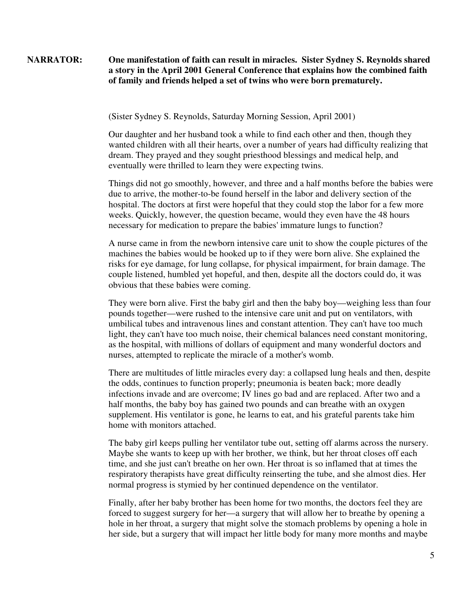## **NARRATOR: One manifestation of faith can result in miracles. Sister Sydney S. Reynolds shared a story in the April 2001 General Conference that explains how the combined faith of family and friends helped a set of twins who were born prematurely.**

(Sister Sydney S. Reynolds, Saturday Morning Session, April 2001)

Our daughter and her husband took a while to find each other and then, though they wanted children with all their hearts, over a number of years had difficulty realizing that dream. They prayed and they sought priesthood blessings and medical help, and eventually were thrilled to learn they were expecting twins.

Things did not go smoothly, however, and three and a half months before the babies were due to arrive, the mother-to-be found herself in the labor and delivery section of the hospital. The doctors at first were hopeful that they could stop the labor for a few more weeks. Quickly, however, the question became, would they even have the 48 hours necessary for medication to prepare the babies' immature lungs to function?

A nurse came in from the newborn intensive care unit to show the couple pictures of the machines the babies would be hooked up to if they were born alive. She explained the risks for eye damage, for lung collapse, for physical impairment, for brain damage. The couple listened, humbled yet hopeful, and then, despite all the doctors could do, it was obvious that these babies were coming.

They were born alive. First the baby girl and then the baby boy—weighing less than four pounds together—were rushed to the intensive care unit and put on ventilators, with umbilical tubes and intravenous lines and constant attention. They can't have too much light, they can't have too much noise, their chemical balances need constant monitoring, as the hospital, with millions of dollars of equipment and many wonderful doctors and nurses, attempted to replicate the miracle of a mother's womb.

There are multitudes of little miracles every day: a collapsed lung heals and then, despite the odds, continues to function properly; pneumonia is beaten back; more deadly infections invade and are overcome; IV lines go bad and are replaced. After two and a half months, the baby boy has gained two pounds and can breathe with an oxygen supplement. His ventilator is gone, he learns to eat, and his grateful parents take him home with monitors attached.

The baby girl keeps pulling her ventilator tube out, setting off alarms across the nursery. Maybe she wants to keep up with her brother, we think, but her throat closes off each time, and she just can't breathe on her own. Her throat is so inflamed that at times the respiratory therapists have great difficulty reinserting the tube, and she almost dies. Her normal progress is stymied by her continued dependence on the ventilator.

Finally, after her baby brother has been home for two months, the doctors feel they are forced to suggest surgery for her—a surgery that will allow her to breathe by opening a hole in her throat, a surgery that might solve the stomach problems by opening a hole in her side, but a surgery that will impact her little body for many more months and maybe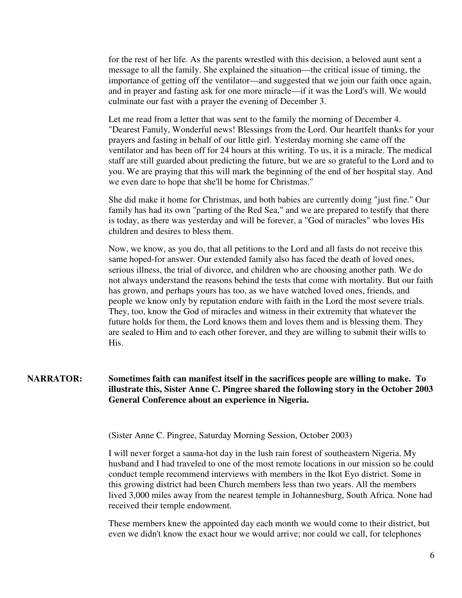for the rest of her life. As the parents wrestled with this decision, a beloved aunt sent a message to all the family. She explained the situation—the critical issue of timing, the importance of getting off the ventilator—and suggested that we join our faith once again, and in prayer and fasting ask for one more miracle—if it was the Lord's will. We would culminate our fast with a prayer the evening of December 3.

Let me read from a letter that was sent to the family the morning of December 4. "Dearest Family, Wonderful news! Blessings from the Lord. Our heartfelt thanks for your prayers and fasting in behalf of our little girl. Yesterday morning she came off the ventilator and has been off for 24 hours at this writing. To us, it is a miracle. The medical staff are still guarded about predicting the future, but we are so grateful to the Lord and to you. We are praying that this will mark the beginning of the end of her hospital stay. And we even dare to hope that she'll be home for Christmas."

She did make it home for Christmas, and both babies are currently doing "just fine." Our family has had its own "parting of the Red Sea," and we are prepared to testify that there is today, as there was yesterday and will be forever, a "God of miracles" who loves His children and desires to bless them.

Now, we know, as you do, that all petitions to the Lord and all fasts do not receive this same hoped-for answer. Our extended family also has faced the death of loved ones, serious illness, the trial of divorce, and children who are choosing another path. We do not always understand the reasons behind the tests that come with mortality. But our faith has grown, and perhaps yours has too, as we have watched loved ones, friends, and people we know only by reputation endure with faith in the Lord the most severe trials. They, too, know the God of miracles and witness in their extremity that whatever the future holds for them, the Lord knows them and loves them and is blessing them. They are sealed to Him and to each other forever, and they are willing to submit their wills to His.

# **NARRATOR: Sometimes faith can manifest itself in the sacrifices people are willing to make. To illustrate this, Sister Anne C. Pingree shared the following story in the October 2003 General Conference about an experience in Nigeria.**

(Sister Anne C. Pingree, Saturday Morning Session, October 2003)

I will never forget a sauna-hot day in the lush rain forest of southeastern Nigeria. My husband and I had traveled to one of the most remote locations in our mission so he could conduct temple recommend interviews with members in the Ikot Eyo district. Some in this growing district had been Church members less than two years. All the members lived 3,000 miles away from the nearest temple in Johannesburg, South Africa. None had received their temple endowment.

These members knew the appointed day each month we would come to their district, but even we didn't know the exact hour we would arrive; nor could we call, for telephones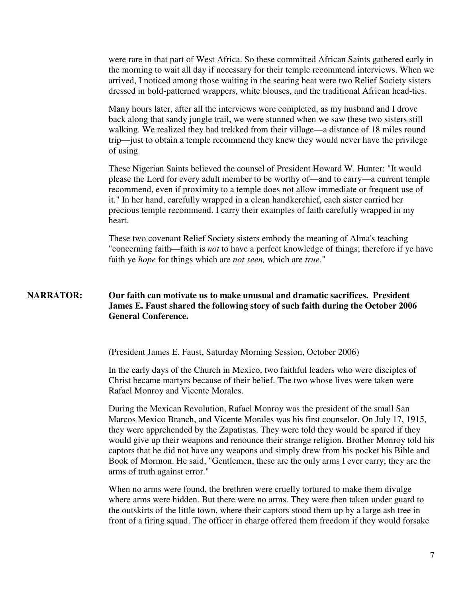were rare in that part of West Africa. So these committed African Saints gathered early in the morning to wait all day if necessary for their temple recommend interviews. When we arrived, I noticed among those waiting in the searing heat were two Relief Society sisters dressed in bold-patterned wrappers, white blouses, and the traditional African head-ties.

Many hours later, after all the interviews were completed, as my husband and I drove back along that sandy jungle trail, we were stunned when we saw these two sisters still walking. We realized they had trekked from their village—a distance of 18 miles round trip—just to obtain a temple recommend they knew they would never have the privilege of using.

These Nigerian Saints believed the counsel of President Howard W. Hunter: "It would please the Lord for every adult member to be worthy of—and to carry—a current temple recommend, even if proximity to a temple does not allow immediate or frequent use of it." In her hand, carefully wrapped in a clean handkerchief, each sister carried her precious temple recommend. I carry their examples of faith carefully wrapped in my heart.

These two covenant Relief Society sisters embody the meaning of Alma's teaching "concerning faith—faith is *not* to have a perfect knowledge of things; therefore if ye have faith ye *hope* for things which are *not seen,* which are *true.*"

## **NARRATOR: Our faith can motivate us to make unusual and dramatic sacrifices. President James E. Faust shared the following story of such faith during the October 2006 General Conference.**

(President James E. Faust, Saturday Morning Session, October 2006)

In the early days of the Church in Mexico, two faithful leaders who were disciples of Christ became martyrs because of their belief. The two whose lives were taken were Rafael Monroy and Vicente Morales.

During the Mexican Revolution, Rafael Monroy was the president of the small San Marcos Mexico Branch, and Vicente Morales was his first counselor. On July 17, 1915, they were apprehended by the Zapatistas. They were told they would be spared if they would give up their weapons and renounce their strange religion. Brother Monroy told his captors that he did not have any weapons and simply drew from his pocket his Bible and Book of Mormon. He said, "Gentlemen, these are the only arms I ever carry; they are the arms of truth against error."

When no arms were found, the brethren were cruelly tortured to make them divulge where arms were hidden. But there were no arms. They were then taken under guard to the outskirts of the little town, where their captors stood them up by a large ash tree in front of a firing squad. The officer in charge offered them freedom if they would forsake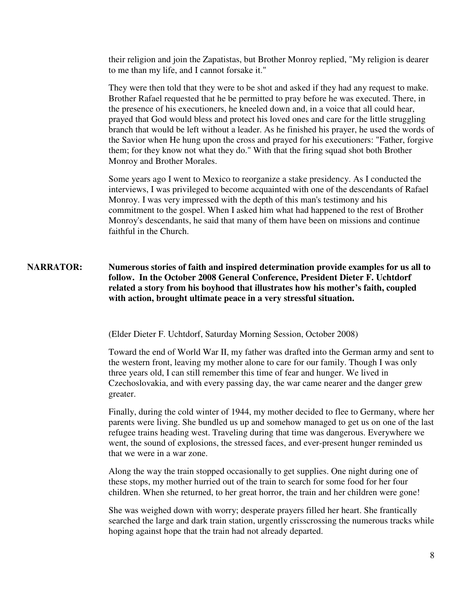their religion and join the Zapatistas, but Brother Monroy replied, "My religion is dearer to me than my life, and I cannot forsake it."

They were then told that they were to be shot and asked if they had any request to make. Brother Rafael requested that he be permitted to pray before he was executed. There, in the presence of his executioners, he kneeled down and, in a voice that all could hear, prayed that God would bless and protect his loved ones and care for the little struggling branch that would be left without a leader. As he finished his prayer, he used the words of the Savior when He hung upon the cross and prayed for his executioners: "Father, forgive them; for they know not what they do." With that the firing squad shot both Brother Monroy and Brother Morales.

Some years ago I went to Mexico to reorganize a stake presidency. As I conducted the interviews, I was privileged to become acquainted with one of the descendants of Rafael Monroy. I was very impressed with the depth of this man's testimony and his commitment to the gospel. When I asked him what had happened to the rest of Brother Monroy's descendants, he said that many of them have been on missions and continue faithful in the Church.

# **NARRATOR: Numerous stories of faith and inspired determination provide examples for us all to follow. In the October 2008 General Conference, President Dieter F. Uchtdorf related a story from his boyhood that illustrates how his mother's faith, coupled with action, brought ultimate peace in a very stressful situation.**

(Elder Dieter F. Uchtdorf, Saturday Morning Session, October 2008)

Toward the end of World War II, my father was drafted into the German army and sent to the western front, leaving my mother alone to care for our family. Though I was only three years old, I can still remember this time of fear and hunger. We lived in Czechoslovakia, and with every passing day, the war came nearer and the danger grew greater.

Finally, during the cold winter of 1944, my mother decided to flee to Germany, where her parents were living. She bundled us up and somehow managed to get us on one of the last refugee trains heading west. Traveling during that time was dangerous. Everywhere we went, the sound of explosions, the stressed faces, and ever-present hunger reminded us that we were in a war zone.

Along the way the train stopped occasionally to get supplies. One night during one of these stops, my mother hurried out of the train to search for some food for her four children. When she returned, to her great horror, the train and her children were gone!

She was weighed down with worry; desperate prayers filled her heart. She frantically searched the large and dark train station, urgently crisscrossing the numerous tracks while hoping against hope that the train had not already departed.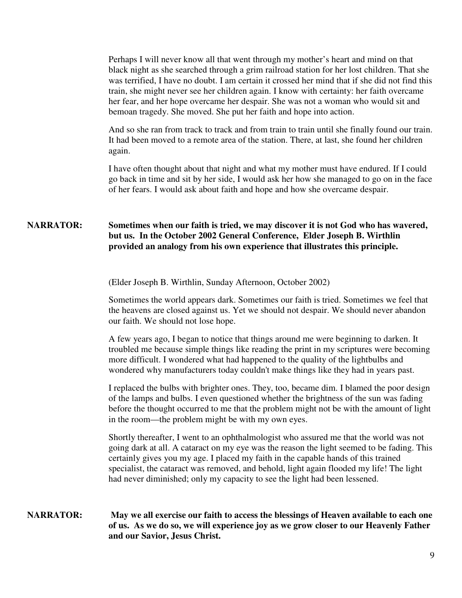Perhaps I will never know all that went through my mother's heart and mind on that black night as she searched through a grim railroad station for her lost children. That she was terrified, I have no doubt. I am certain it crossed her mind that if she did not find this train, she might never see her children again. I know with certainty: her faith overcame her fear, and her hope overcame her despair. She was not a woman who would sit and bemoan tragedy. She moved. She put her faith and hope into action.

And so she ran from track to track and from train to train until she finally found our train. It had been moved to a remote area of the station. There, at last, she found her children again.

I have often thought about that night and what my mother must have endured. If I could go back in time and sit by her side, I would ask her how she managed to go on in the face of her fears. I would ask about faith and hope and how she overcame despair.

# **NARRATOR: Sometimes when our faith is tried, we may discover it is not God who has wavered, but us. In the October 2002 General Conference, Elder Joseph B. Wirthlin provided an analogy from his own experience that illustrates this principle.**

(Elder Joseph B. Wirthlin, Sunday Afternoon, October 2002)

Sometimes the world appears dark. Sometimes our faith is tried. Sometimes we feel that the heavens are closed against us. Yet we should not despair. We should never abandon our faith. We should not lose hope.

A few years ago, I began to notice that things around me were beginning to darken. It troubled me because simple things like reading the print in my scriptures were becoming more difficult. I wondered what had happened to the quality of the lightbulbs and wondered why manufacturers today couldn't make things like they had in years past.

I replaced the bulbs with brighter ones. They, too, became dim. I blamed the poor design of the lamps and bulbs. I even questioned whether the brightness of the sun was fading before the thought occurred to me that the problem might not be with the amount of light in the room—the problem might be with my own eyes.

Shortly thereafter, I went to an ophthalmologist who assured me that the world was not going dark at all. A cataract on my eye was the reason the light seemed to be fading. This certainly gives you my age. I placed my faith in the capable hands of this trained specialist, the cataract was removed, and behold, light again flooded my life! The light had never diminished; only my capacity to see the light had been lessened.

## **NARRATOR: May we all exercise our faith to access the blessings of Heaven available to each one of us. As we do so, we will experience joy as we grow closer to our Heavenly Father and our Savior, Jesus Christ.**